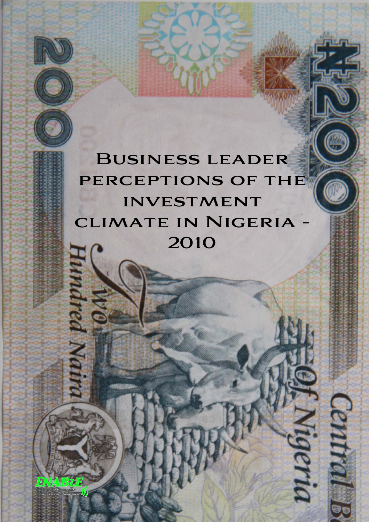# **Business leader PERCEPTIONS OF THE INVESTMENT CLIMATE IN NIGERIA 2010**

IN

**ABLE** 

EN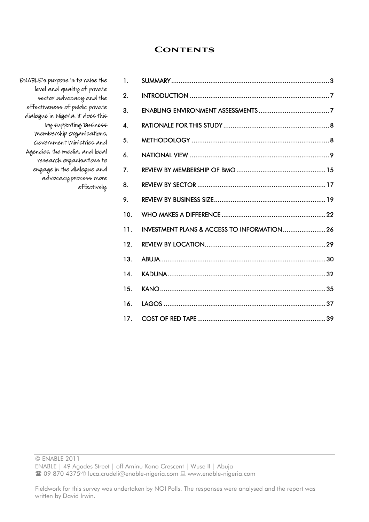## **CONTENTS**

| 1.                 |                                                         |
|--------------------|---------------------------------------------------------|
| 2.                 |                                                         |
| 3.                 |                                                         |
| $\boldsymbol{A}$ . |                                                         |
| 5.                 |                                                         |
| 6.                 |                                                         |
| 7.                 |                                                         |
| 8.                 |                                                         |
| 9.                 |                                                         |
| 10.                |                                                         |
| 11.                | <b>INVESTMENT PLANS &amp; ACCESS TO INFORMATION  26</b> |
| 12.                |                                                         |
| 13.                |                                                         |
| 14.                |                                                         |
| 15.                |                                                         |
| 16.                |                                                         |
| 17.                |                                                         |

ENABLE's purpose is to raise the level and quality of private sector advocacy and the effectiveness of public private dialogue in Nigeria. It does this by supporting Business Membership Organisations, Government Ministries and Agencies, the media, and local research organisations to engage in the dialogue and advocacy process more effectively.

© ENABLE 2011

ENABLE | 49 Agades Street | off Aminu Kano Crescent | Wuse II | Abuja

<sup>2</sup> 09 870 4375 the luca.crudeli@enable-nigeria.com ■ www.enable-nigeria.com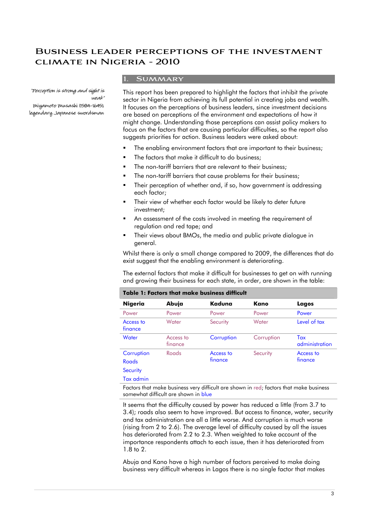# **Business leader perceptions of the investment climate in Nigeria - 2010**

"Perception is strong and sight is weak" Miyamoto Musashi (1584-1645), legendary Japanese swordsman

## **1. Summary**

This report has been prepared to highlight the factors that inhibit the private sector in Nigeria from achieving its full potential in creating jobs and wealth. It focuses on the perceptions of business leaders, since investment decisions are based on perceptions of the environment and expectations of how it might change. Understanding those perceptions can assist policy makers to focus on the factors that are causing particular difficulties, so the report also suggests priorities for action. Business leaders were asked about:

- The enabling environment factors that are important to their business;
- **The factors that make it difficult to do business;**
- **The non-tariff barriers that are relevant to their business;**
- The non-tariff barriers that cause problems for their business;
- **Their perception of whether and, if so, how government is addressing** each factor;
- Their view of whether each factor would be likely to deter future investment;
- An assessment of the costs involved in meeting the requirement of regulation and red tape; and
- Their views about BMOs, the media and public private dialogue in general.

Whilst there is only a small change compared to 2009, the differences that do exist suggest that the enabling environment is deteriorating.

The external factors that make it difficult for businesses to get on with running and growing their business for each state, in order, are shown in the table:

| TUDIE T: FULIOIS MUI MUKE DOSMESS UNIILON                                                                                                                                                                                                |                      |            |            |                       |  |
|------------------------------------------------------------------------------------------------------------------------------------------------------------------------------------------------------------------------------------------|----------------------|------------|------------|-----------------------|--|
| <b>Nigeria</b>                                                                                                                                                                                                                           | Abuja                | Kaduna     | Kano       | Lagos                 |  |
| Power                                                                                                                                                                                                                                    | Power                | Power      | Power      | Power                 |  |
| Access to<br>finance                                                                                                                                                                                                                     | Water                | Security   | Water      | Level of tax          |  |
| Water                                                                                                                                                                                                                                    | Access to<br>finance | Corruption | Corruption | Tax<br>administration |  |
| Corruption                                                                                                                                                                                                                               | Roads                | Access to  | Security   | Access to             |  |
| Roads                                                                                                                                                                                                                                    |                      | finance    |            | finance               |  |
| Security                                                                                                                                                                                                                                 |                      |            |            |                       |  |
| Tax admin                                                                                                                                                                                                                                |                      |            |            |                       |  |
| $\mathbf{F}^{\text{ref}}$ . The contract of the contract of the contract of the contract of the contract of the contract of the contract of the contract of the contract of the contract of the contract of the contract of the contract |                      |            |            |                       |  |

## **Table 1: Factors that make business difficult**

Factors that make business very difficult are shown in red; factors that make business somewhat difficult are shown in blue

It seems that the difficulty caused by power has reduced a little (from 3.7 to 3.4); roads also seem to have improved. But access to finance, water, security and tax administration are all a little worse. And corruption is much worse (rising from 2 to 2.6). The average level of difficulty caused by all the issues has deteriorated from 2.2 to 2.3. When weighted to take account of the importance respondents attach to each issue, then it has deteriorated from 1.8 to 2.

Abuja and Kano have a high number of factors perceived to make doing business very difficult whereas in Lagos there is no single factor that makes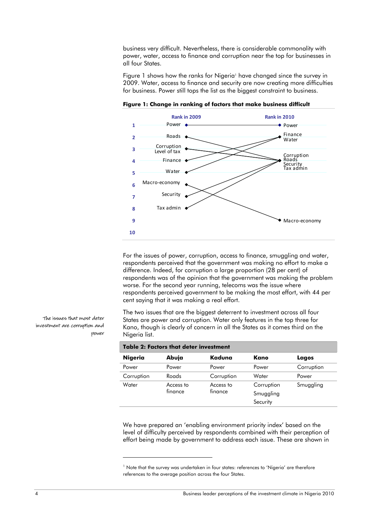business very difficult. Nevertheless, there is considerable commonality with power, water, access to finance and corruption near the top for businesses in all four States.

Figure 1 shows how the ranks for Nigeria<sup>1</sup> have changed since the survey in 2009. Water, access to finance and security are now creating more difficulties for business. Power still tops the list as the biggest constraint to business.



**Figure 1: Change in ranking of factors that make business difficult** 

For the issues of power, corruption, access to finance, smuggling and water, respondents perceived that the government was making no effort to make a difference. Indeed, for corruption a large proportion (28 per cent) of respondents was of the opinion that the government was making the problem worse. For the second year running, telecoms was the issue where respondents perceived government to be making the most effort, with 44 per cent saying that it was making a real effort.

The two issues that are the biggest deterrent to investment across all four States are power and corruption. Water only features in the top three for Kano, though is clearly of concern in all the States as it comes third on the Nigeria list.

| <b>Table 2: Factors that deter investment</b> |           |            |            |            |  |  |
|-----------------------------------------------|-----------|------------|------------|------------|--|--|
| <b>Nigeria</b>                                | Abuja     | Kaduna     | Kano       | Lagos      |  |  |
| Power                                         | Power     | Power      | Power      | Corruption |  |  |
| Corruption                                    | Roads     | Corruption | Water      | Power      |  |  |
| Water                                         | Access to | Access to  | Corruption | Smuggling  |  |  |
|                                               | finance   | finance    | Smuggling  |            |  |  |
|                                               |           |            | Security   |            |  |  |

We have prepared an 'enabling environment priority index' based on the level of difficulty perceived by respondents combined with their perception of effort being made by government to address each issue. These are shown in

The issues that most deter investment are corruption and power

-

<sup>1</sup> Note that the survey was undertaken in four states: references to 'Nigeria' are therefore references to the average position across the four States.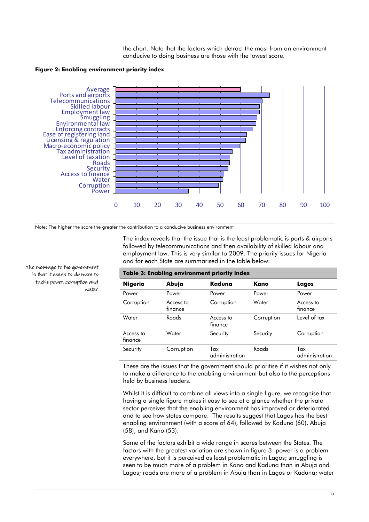the chart. Note that the factors which detract the most from an environment conducive to doing business are those with the lowest score.

#### **Figure 2: Enabling environment priority index**



Note: The higher the score the greater the contribution to a conducive business environment

The index reveals that the issue that is the least problematic is ports & airports followed by telecommunications and then availability of skilled labour and employment law. This is very similar to 2009. The priority issues for Nigeria and for each State are summarised in the table below:

| Table 3: Enabling environment priority index |                      |                       |            |                       |  |
|----------------------------------------------|----------------------|-----------------------|------------|-----------------------|--|
| <b>Nigeria</b>                               | Abuja                | Kaduna                | Kano       | Lagos                 |  |
| Power                                        | Power                | Power                 | Power      | Power                 |  |
| Corruption                                   | Access to<br>finance | Corruption            | Water      | Access to<br>finance  |  |
| Water                                        | Roads                | Access to<br>finance  | Corruption | Level of tax          |  |
| Access to<br>finance                         | Water                | Security              | Security   | Corruption            |  |
| Security                                     | Corruption           | Tax<br>administration | Roads      | Tax<br>administration |  |

The message to the government is that it needs to do more to tackle power, corruption and water.

> These are the issues that the government should prioritise if it wishes not only to make a difference to the enabling environment but also to the perceptions held by business leaders.

> Whilst it is difficult to combine all views into a single figure, we recognise that having a single figure makes it easy to see at a glance whether the private sector perceives that the enabling environment has improved or deteriorated and to see how states compare. The results suggest that Lagos has the best enabling environment (with a score of 64), followed by Kaduna (60), Abuja (58), and Kano (53).

Some of the factors exhibit a wide range in scores between the States. The factors with the greatest variation are shown in figure 3: power is a problem everywhere, but it is perceived as least problematic in Lagos; smuggling is seen to be much more of a problem in Kano and Kaduna than in Abuja and Lagos; roads are more of a problem in Abuja than in Lagos or Kaduna; water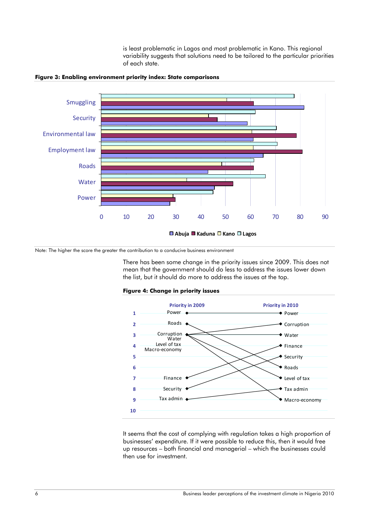is least problematic in Lagos and most problematic in Kano. This regional variability suggests that solutions need to be tailored to the particular priorities of each state.



**Figure 3: Enabling environment priority index: State comparisons** 

Note: The higher the score the greater the contribution to a conducive business environment

There has been some change in the priority issues since 2009. This does not mean that the government should do less to address the issues lower down the list, but it should do more to address the issues at the top.

#### **Figure 4: Change in priority issues**



It seems that the cost of complying with regulation takes a high proportion of businesses' expenditure. If it were possible to reduce this, then it would free up resources – both financial and managerial – which the businesses could then use for investment.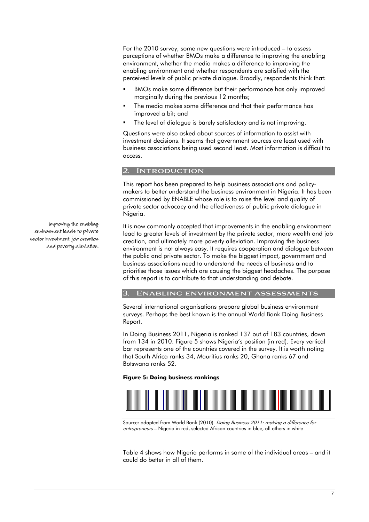For the 2010 survey, some new questions were introduced – to assess perceptions of whether BMOs make a difference to improving the enabling environment, whether the media makes a difference to improving the enabling environment and whether respondents are satisfied with the perceived levels of public private dialogue. Broadly, respondents think that:

- BMOs make some difference but their performance has only improved marginally during the previous 12 months;
- The media makes some difference and that their performance has improved a bit; and
- The level of dialogue is barely satisfactory and is not improving.

Questions were also asked about sources of information to assist with investment decisions. It seems that government sources are least used with business associations being used second least. Most information is difficult to access.

## **2. Introduction**

This report has been prepared to help business associations and policymakers to better understand the business environment in Nigeria. It has been commissioned by ENABLE whose role is to raise the level and quality of private sector advocacy and the effectiveness of public private dialogue in Nigeria.

It is now commonly accepted that improvements in the enabling environment lead to greater levels of investment by the private sector, more wealth and job creation, and ultimately more poverty alleviation. Improving the business environment is not always easy. It requires cooperation and dialogue between the public and private sector. To make the biggest impact, government and business associations need to understand the needs of business and to prioritise those issues which are causing the biggest headaches. The purpose of this report is to contribute to that understanding and debate.

## **3. Enabling environment assessments**

Several international organisations prepare global business environment surveys. Perhaps the best known is the annual World Bank Doing Business Report.

In Doing Business 2011, Nigeria is ranked 137 out of 183 countries, down from 134 in 2010. Figure 5 shows Nigeria's position (in red). Every vertical bar represents one of the countries covered in the survey. It is worth noting that South Africa ranks 34, Mauritius ranks 20, Ghana ranks 67 and Botswana ranks 52.

#### **Figure 5: Doing business rankings**



Source: adapted from World Bank (2010). Doing Business 2011: making a difference for entrepreneurs - Nigeria in red, selected African countries in blue, all others in white

Table 4 shows how Nigeria performs in some of the individual areas – and it could do better in all of them.

Improving the enabling environment leads to private sector investment, job creation and poverty alleviation.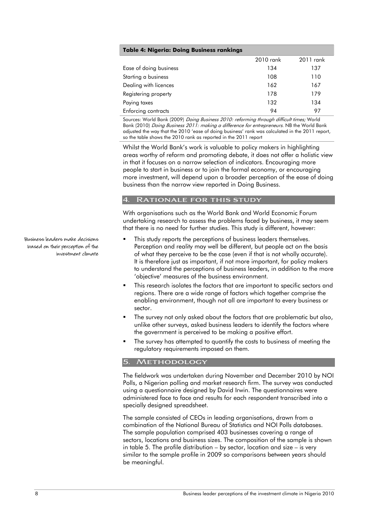#### **Table 4: Nigeria: Doing Business rankings**

|                        | 2010 rank | 2011 rank |
|------------------------|-----------|-----------|
| Ease of doing business | 134       | 137       |
| Starting a business    | 108       | 110       |
| Dealing with licences  | 162       | 167       |
| Registering property   | 178       | 179       |
| Paying taxes           | 132       | 134       |
| Enforcing contracts    | 94        | 97        |

Sources: World Bank (2009) Doing Business 2010: reforming through difficult times; World Bank (2010) Doing Business 2011: making a difference for entrepreneurs. NB the World Bank adjusted the way that the 2010 'ease of doing business' rank was calculated in the 2011 report, so the table shows the 2010 rank as reported in the 2011 report

Whilst the World Bank's work is valuable to policy makers in highlighting areas worthy of reform and promoting debate, it does not offer a holistic view in that it focuses on a narrow selection of indicators. Encouraging more people to start in business or to join the formal economy, or encouraging more investment, will depend upon a broader perception of the ease of doing business than the narrow view reported in Doing Business.

## **4. Rationale for this study**

With organisations such as the World Bank and World Economic Forum undertaking research to assess the problems faced by business, it may seem that there is no need for further studies. This study is different, however:

- This study reports the perceptions of business leaders themselves. Perception and reality may well be different, but people act on the basis of what they perceive to be the case (even if that is not wholly accurate). It is therefore just as important, if not more important, for policy makers to understand the perceptions of business leaders, in addition to the more 'objective' measures of the business environment.
- This research isolates the factors that are important to specific sectors and regions. There are a wide range of factors which together comprise the enabling environment, though not all are important to every business or sector.
- The survey not only asked about the factors that are problematic but also, unlike other surveys, asked business leaders to identify the factors where the government is perceived to be making a positive effort.
- The survey has attempted to quantify the costs to business of meeting the regulatory requirements imposed on them.

## **5. Methodology**

The fieldwork was undertaken during November and December 2010 by NOI Polls, a Nigerian polling and market research firm. The survey was conducted using a questionnaire designed by David Irwin. The questionnaires were administered face to face and results for each respondent transcribed into a specially designed spreadsheet.

The sample consisted of CEOs in leading organisations, drawn from a combination of the National Bureau of Statistics and NOI Polls databases. The sample population comprised 403 businesses covering a range of sectors, locations and business sizes. The composition of the sample is shown in table 5. The profile distribution – by sector, location and size – is very similar to the sample profile in 2009 so comparisons between years should be meaningful.

Business leaders make decisions based on their perception of the investment climate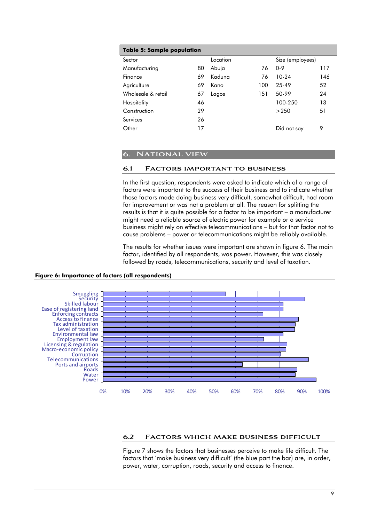| <b>Table 5: Sample population</b> |    |          |     |                  |     |
|-----------------------------------|----|----------|-----|------------------|-----|
| Sector                            |    | Location |     | Size (employees) |     |
| Manufacturing                     | 80 | Abuja    | 76  | $0 - 9$          | 117 |
| Finance                           | 69 | Kaduna   | 76  | $10-24$          | 146 |
| Agriculture                       | 69 | Kano     | 100 | 25-49            | 52  |
| Wholesale & retail                | 67 | Lagos    | 151 | 50-99            | 24  |
| Hospitality                       | 46 |          |     | 100-250          | 13  |
| Construction                      | 29 |          |     | >250             | 51  |
| Services                          | 26 |          |     |                  |     |
| Other                             | 17 |          |     | Did not say      | 9   |

## **6. National view**

#### **6.1 Factors important to business**

In the first question, respondents were asked to indicate which of a range of factors were important to the success of their business and to indicate whether those factors made doing business very difficult, somewhat difficult, had room for improvement or was not a problem at all. The reason for splitting the results is that it is quite possible for a factor to be important – a manufacturer might need a reliable source of electric power for example or a service business might rely on effective telecommunications – but for that factor not to cause problems – power or telecommunications might be reliably available.

The results for whether issues were important are shown in figure 6. The main factor, identified by all respondents, was power. However, this was closely followed by roads, telecommunications, security and level of taxation.



#### **Figure 6: Importance of factors (all respondents)**

#### **6.2 Factors which make business difficult**

Figure 7 shows the factors that businesses perceive to make life difficult. The factors that 'make business very difficult' (the blue part the bar) are, in order, power, water, corruption, roads, security and access to finance.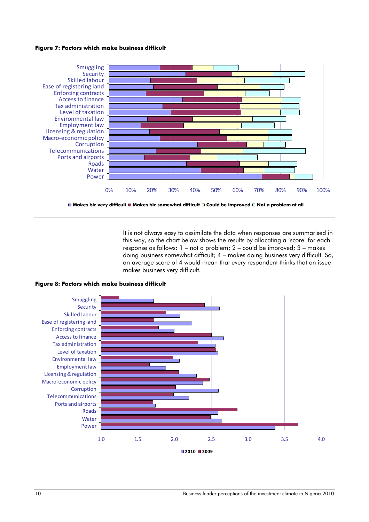#### **Figure 7: Factors which make business difficult**



**Makes biz very difficult Makes biz somewhat difficult Could be improved Not a problem at all**

It is not always easy to assimilate the data when responses are summarised in this way, so the chart below shows the results by allocating a 'score' for each response as follows: 1 – not a problem; 2 – could be improved; 3 – makes doing business somewhat difficult; 4 – makes doing business very difficult. So, an average score of 4 would mean that every respondent thinks that an issue makes business very difficult.



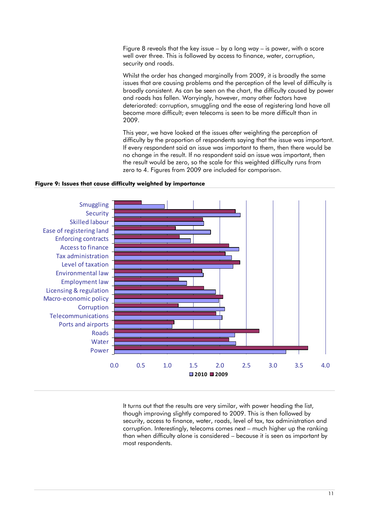Figure 8 reveals that the key issue – by a long way – is power, with a score well over three. This is followed by access to finance, water, corruption, security and roads.

Whilst the order has changed marginally from 2009, it is broadly the same issues that are causing problems and the perception of the level of difficulty is broadly consistent. As can be seen on the chart, the difficulty caused by power and roads has fallen. Worryingly, however, many other factors have deteriorated: corruption, smuggling and the ease of registering land have all become more difficult; even telecoms is seen to be more difficult than in 2009.

This year, we have looked at the issues after weighting the perception of difficulty by the proportion of respondents saying that the issue was important. If every respondent said an issue was important to them, then there would be no change in the result. If no respondent said an issue was important, then the result would be zero, so the scale for this weighted difficulty runs from zero to 4. Figures from 2009 are included for comparison.

#### **Figure 9: Issues that cause difficulty weighted by importance**



It turns out that the results are very similar, with power heading the list, though improving slightly compared to 2009. This is then followed by security, access to finance, water, roads, level of tax, tax administration and corruption. Interestingly, telecoms comes next – much higher up the ranking than when difficulty alone is considered – because it is seen as important by most respondents.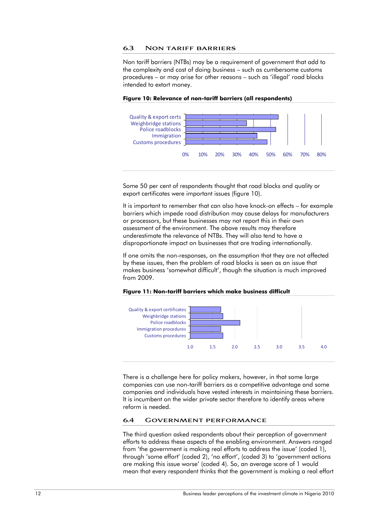#### **6.3 Non tariff barriers**

Non tariff barriers (NTBs) may be a requirement of government that add to the complexity and cost of doing business – such as cumbersome customs procedures – or may arise for other reasons – such as 'illegal' road blocks intended to extort money.



#### **Figure 10: Relevance of non-tariff barriers (all respondents)**

Some 50 per cent of respondents thought that road blocks and quality or export certificates were important issues (figure 10).

It is important to remember that can also have knock-on effects – for example barriers which impede road distribution may cause delays for manufacturers or processors, but these businesses may not report this in their own assessment of the environment. The above results may therefore underestimate the relevance of NTBs. They will also tend to have a disproportionate impact on businesses that are trading internationally.

If one omits the non-responses, on the assumption that they are not affected by these issues, then the problem of road blocks is seen as an issue that makes business 'somewhat difficult', though the situation is much improved from 2009.

#### **Figure 11: Non-tariff barriers which make business difficult**



There is a challenge here for policy makers, however, in that some large companies can use non-tariff barriers as a competitive advantage and some companies and individuals have vested interests in maintaining these barriers. It is incumbent on the wider private sector therefore to identify areas where reform is needed.

#### **6.4 Government performance**

The third question asked respondents about their perception of government efforts to address these aspects of the enabling environment. Answers ranged from 'the government is making real efforts to address the issue' (coded 1), through 'some effort' (coded 2), 'no effort', (coded 3) to 'government actions are making this issue worse' (coded 4). So, an average score of 1 would mean that every respondent thinks that the government is making a real effort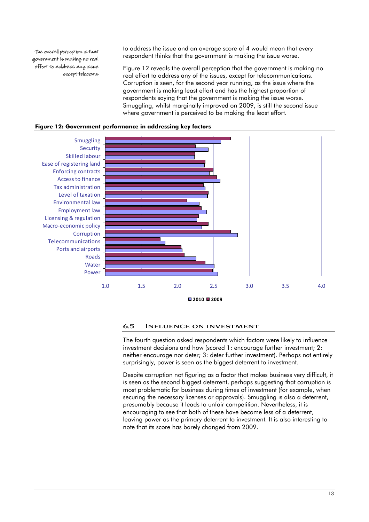The overall perception is that government is making no real effort to address any issue except telecoms to address the issue and an average score of 4 would mean that every respondent thinks that the government is making the issue worse.

Figure 12 reveals the overall perception that the government is making no real effort to address any of the issues, except for telecommunications. Corruption is seen, for the second year running, as the issue where the government is making least effort and has the highest proportion of respondents saying that the government is making the issue worse. Smuggling, whilst marginally improved on 2009, is still the second issue where government is perceived to be making the least effort.



#### **Figure 12: Government performance in addressing key factors**

#### **6.5 Influence on investment**

The fourth question asked respondents which factors were likely to influence investment decisions and how (scored 1: encourage further investment; 2: neither encourage nor deter; 3: deter further investment). Perhaps not entirely surprisingly, power is seen as the biggest deterrent to investment.

Despite corruption not figuring as a factor that makes business very difficult, it is seen as the second biggest deterrent, perhaps suggesting that corruption is most problematic for business during times of investment (for example, when securing the necessary licenses or approvals). Smuggling is also a deterrent, presumably because it leads to unfair competition. Nevertheless, it is encouraging to see that both of these have become less of a deterrent, leaving power as the primary deterrent to investment. It is also interesting to note that its score has barely changed from 2009.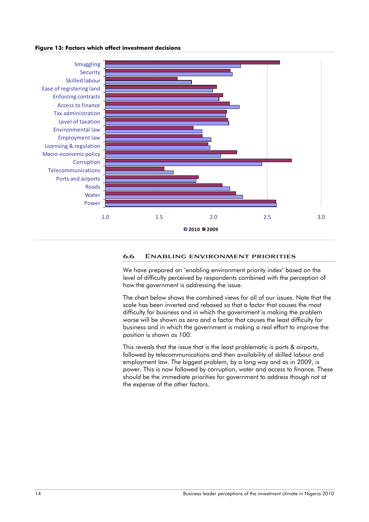#### **Figure 13: Factors which affect investment decisions**



## **6.6 Enabling environment priorities**

We have prepared an 'enabling environment priority index' based on the level of difficulty perceived by respondents combined with the perception of how the government is addressing the issue.

The chart below shows the combined views for all of our issues. Note that the scale has been inverted and rebased so that a factor that causes the most difficulty for business and in which the government is making the problem worse will be shown as zero and a factor that causes the least difficulty for business and in which the government is making a real effort to improve the position is shown as 100.

This reveals that the issue that is the least problematic is ports & airports, followed by telecommunications and then availability of skilled labour and employment law. The biggest problem, by a long way and as in 2009, is power. This is now followed by corruption, water and access to finance. These should be the immediate priorities for government to address though not at the expense of the other factors.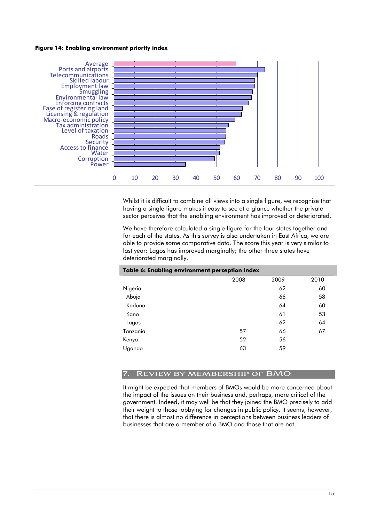#### **Figure 14: Enabling environment priority index**



Whilst it is difficult to combine all views into a single figure, we recognise that having a single figure makes it easy to see at a glance whether the private sector perceives that the enabling environment has improved or deteriorated.

We have therefore calculated a single figure for the four states together and for each of the states. As this survey is also undertaken in East Africa, we are able to provide some comparative data. The score this year is very similar to last year: Lagos has improved marginally; the other three states have deteriorated marginally.

| Table 6: Enabling environment perception index |      |      |      |  |  |
|------------------------------------------------|------|------|------|--|--|
|                                                | 2008 | 2009 | 2010 |  |  |
| Nigeria                                        |      | 62   | 60   |  |  |
| Abuja                                          |      | 66   | 58   |  |  |
| Kaduna                                         |      | 64   | 60   |  |  |
| Kano                                           |      | 61   | 53   |  |  |
| Lagos                                          |      | 62   | 64   |  |  |
| Tanzania                                       | 57   | 66   | 67   |  |  |
| Kenya                                          | 52   | 56   |      |  |  |
| Uganda                                         | 63   | 59   |      |  |  |

#### **7. Review by membership of BMO**

It might be expected that members of BMOs would be more concerned about the impact of the issues on their business and, perhaps, more critical of the government. Indeed, it may well be that they joined the BMO precisely to add their weight to those lobbying for changes in public policy. It seems, however, that there is almost no difference in perceptions between business leaders of businesses that are a member of a BMO and those that are not.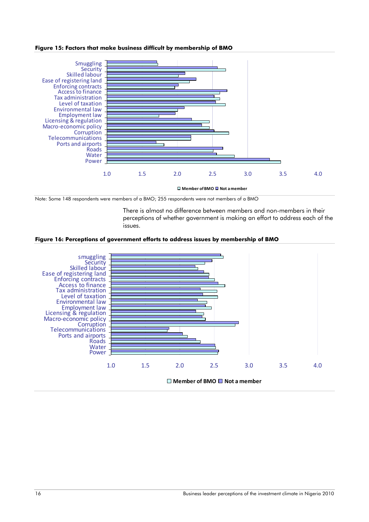#### **Figure 15: Factors that make business difficult by membership of BMO**



Note: Some 148 respondents were members of a BMO; 255 respondents were not members of a BMO

There is almost no difference between members and non-members in their perceptions of whether government is making an effort to address each of the issues.

#### **Figure 16: Perceptions of government efforts to address issues by membership of BMO**

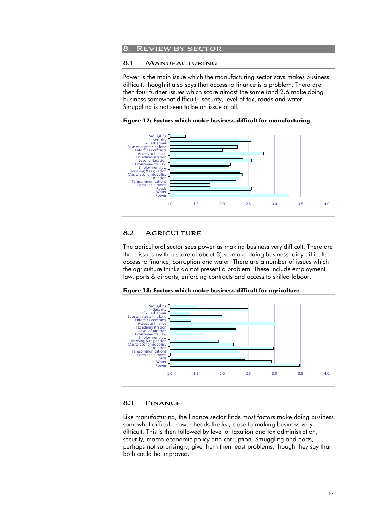#### **8. Review by sector**

#### **8.1 Manufacturing**

Power is the main issue which the manufacturing sector says makes business difficult, though it also says that access to finance is a problem. There are then four further issues which score almost the same (and 2.6 make doing business somewhat difficult): security, level of tax, roads and water. Smuggling is not seen to be an issue at all.

## **Figure 17: Factors which make business difficult for manufacturing**



#### **8.2 Agriculture**

The agricultural sector sees power as making business very difficult. There are three issues (with a score of about 3) so make doing business fairly difficult: access to finance, corruption and water. There are a number of issues which the agriculture thinks do not present a problem. These include employment law, ports & airports, enforcing contracts and access to skilled labour.





#### **8.3 Finance**

Like manufacturing, the finance sector finds most factors make doing business somewhat difficult. Power heads the list, close to making business very difficult. This is then followed by level of taxation and tax administration, security, macro-economic policy and corruption. Smuggling and ports, perhaps not surprisingly, give them then least problems, though they say that both could be improved.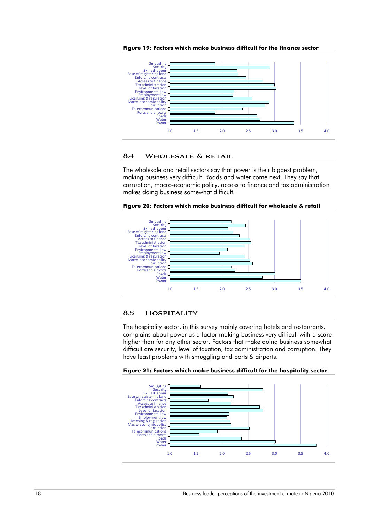

**Figure 19: Factors which make business difficult for the finance sector** 

#### **8.4 Wholesale & retail**

The wholesale and retail sectors say that power is their biggest problem, making business very difficult. Roads and water come next. They say that corruption, macro-economic policy, access to finance and tax administration makes doing business somewhat difficult.



**Figure 20: Factors which make business difficult for wholesale & retail** 

## **8.5 Hospitality**

The hospitality sector, in this survey mainly covering hotels and restaurants, complains about power as a factor making business very difficult with a score higher than for any other sector. Factors that make doing business somewhat difficult are security, level of taxation, tax administration and corruption. They have least problems with smuggling and ports & airports.



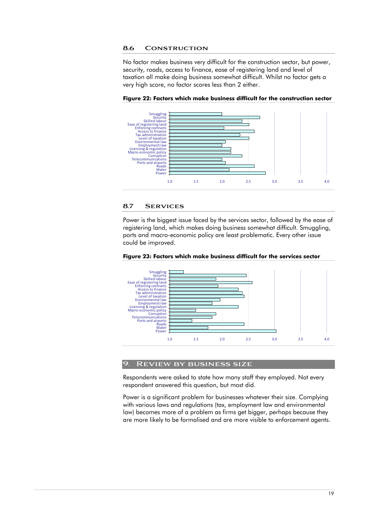#### **8.6 Construction**

No factor makes business very difficult for the construction sector, but power, security, roads, access to finance, ease of registering land and level of taxation all make doing business somewhat difficult. Whilst no factor gets a very high score, no factor scores less than 2 either.



**Figure 22: Factors which make business difficult for the construction sector** 

#### **8.7 Services**

Power is the biggest issue faced by the services sector, followed by the ease of registering land, which makes doing business somewhat difficult. Smuggling, ports and macro-economic policy are least problematic. Every other issue could be improved.





## **9. Review by business size**

Respondents were asked to state how many staff they employed. Not every respondent answered this question, but most did.

Power is a significant problem for businesses whatever their size. Complying with various laws and regulations (tax, employment law and environmental law) becomes more of a problem as firms get bigger, perhaps because they are more likely to be formalised and are more visible to enforcement agents.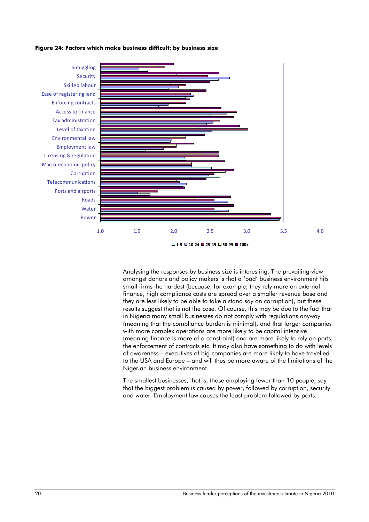

**Figure 24: Factors which make business difficult: by business size** 

Analysing the responses by business size is interesting. The prevailing view amongst donors and policy makers is that a 'bad' business environment hits small firms the hardest (because, for example, they rely more on external finance, high compliance costs are spread over a smaller revenue base and they are less likely to be able to take a stand say on corruption), but these results suggest that is not the case. Of course, this may be due to the fact that in Nigeria many small businesses do not comply with regulations anyway (meaning that the compliance burden is minimal), and that larger companies with more complex operations are more likely to be capital intensive (meaning finance is more of a constraint) and are more likely to rely on ports, the enforcement of contracts etc. It may also have something to do with levels of awareness – executives of big companies are more likely to have travelled to the USA and Europe – and will thus be more aware of the limitations of the Nigerian business environment.

The smallest businesses, that is, those employing fewer than 10 people, say that the biggest problem is caused by power, followed by corruption, security and water. Employment law causes the least problem followed by ports.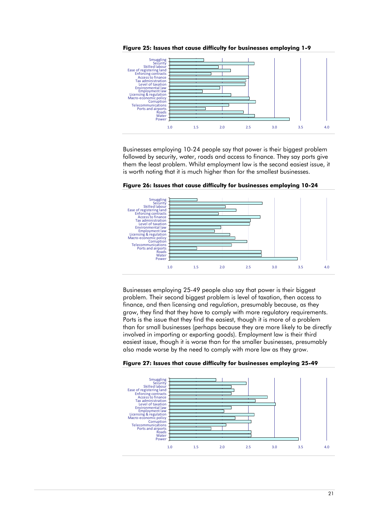

**Figure 25: Issues that cause difficulty for businesses employing 1-9** 

Businesses employing 10-24 people say that power is their biggest problem followed by security, water, roads and access to finance. They say ports give them the least problem. Whilst employment law is the second easiest issue, it is worth noting that it is much higher than for the smallest businesses.



**Figure 26: Issues that cause difficulty for businesses employing 10-24** 

Businesses employing 25-49 people also say that power is their biggest problem. Their second biggest problem is level of taxation, then access to finance, and then licensing and regulation, presumably because, as they grow, they find that they have to comply with more regulatory requirements. Ports is the issue that they find the easiest, though it is more of a problem than for small businesses (perhaps because they are more likely to be directly involved in importing or exporting goods). Employment law is their third easiest issue, though it is worse than for the smaller businesses, presumably also made worse by the need to comply with more law as they grow.



**Figure 27: Issues that cause difficulty for businesses employing 25-49**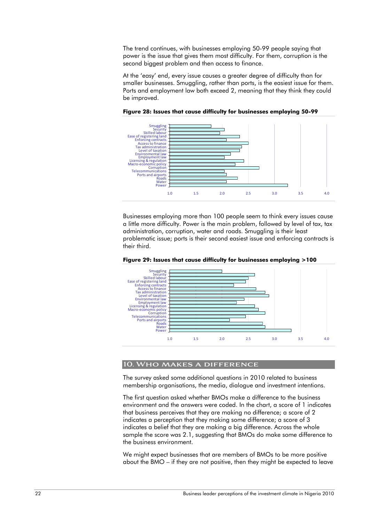The trend continues, with businesses employing 50-99 people saying that power is the issue that gives them most difficulty. For them, corruption is the second biggest problem and then access to finance.

At the 'easy' end, every issue causes a greater degree of difficulty than for smaller businesses. Smuggling, rather than ports, is the easiest issue for them. Ports and employment law both exceed 2, meaning that they think they could be improved.



**Figure 28: Issues that cause difficulty for businesses employing 50-99** 

Businesses employing more than 100 people seem to think every issues cause a little more difficulty. Power is the main problem, followed by level of tax, tax administration, corruption, water and roads. Smuggling is their least problematic issue; ports is their second easiest issue and enforcing contracts is their third.



**Figure 29: Issues that cause difficulty for businesses employing >100** 

#### **10. Who makes a difference**

The survey asked some additional questions in 2010 related to business membership organisations, the media, dialogue and investment intentions.

The first question asked whether BMOs make a difference to the business environment and the answers were coded. In the chart, a score of 1 indicates that business perceives that they are making no difference; a score of 2 indicates a perception that they making some difference; a score of 3 indicates a belief that they are making a big difference. Across the whole sample the score was 2.1, suggesting that BMOs do make some difference to the business environment.

We might expect businesses that are members of BMOs to be more positive about the BMO – if they are not positive, then they might be expected to leave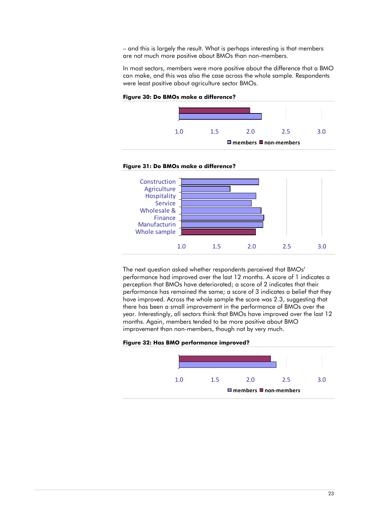– and this is largely the result. What is perhaps interesting is that members are not much more positive about BMOs than non-members.

In most sectors, members were more positive about the difference that a BMO can make, and this was also the case across the whole sample. Respondents were least positive about agriculture sector BMOs.



**Figure 30: Do BMOs make a difference?** 

#### **Figure 31: Do BMOs make a difference?**



The next question asked whether respondents perceived that BMOs' performance had improved over the last 12 months. A score of 1 indicates a perception that BMOs have deteriorated; a score of 2 indicates that their performance has remained the same; a score of 3 indicates a belief that they have improved. Across the whole sample the score was 2.3, suggesting that there has been a small improvement in the performance of BMOs over the year. Interestingly, all sectors think that BMOs have improved over the last 12 months. Again, members tended to be more positive about BMO improvement than non-members, though not by very much.

#### **Figure 32: Has BMO performance improved?**

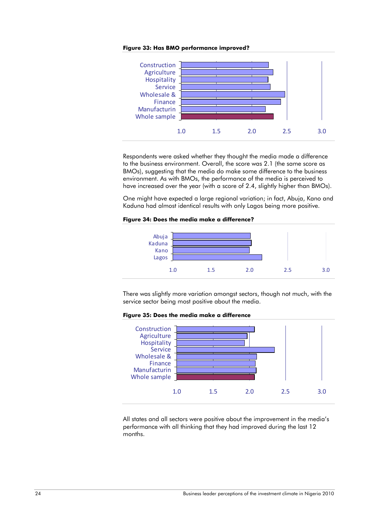



Respondents were asked whether they thought the media made a difference to the business environment. Overall, the score was 2.1 (the same score as BMOs), suggesting that the media do make some difference to the business environment. As with BMOs, the performance of the media is perceived to have increased over the year (with a score of 2.4, slightly higher than BMOs).

One might have expected a large regional variation; in fact, Abuja, Kano and Kaduna had almost identical results with only Lagos being more positive.

#### **Figure 34: Does the media make a difference?**



There was slightly more variation amongst sectors, though not much, with the service sector being most positive about the media.

**Figure 35: Does the media make a difference** 



All states and all sectors were positive about the improvement in the media's performance with all thinking that they had improved during the last 12 months.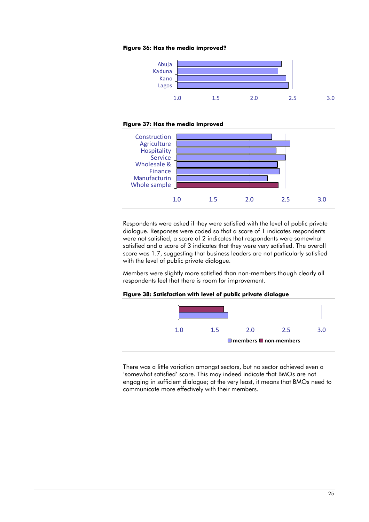#### **Figure 36: Has the media improved?**



#### **Figure 37: Has the media improved**



Respondents were asked if they were satisfied with the level of public private dialogue. Responses were coded so that a score of 1 indicates respondents were not satisfied, a score of 2 indicates that respondents were somewhat satisfied and a score of 3 indicates that they were very satisfied. The overall score was 1.7, suggesting that business leaders are not particularly satisfied with the level of public private dialogue.

Members were slightly more satisfied than non-members though clearly all respondents feel that there is room for improvement.

#### **Figure 38: Satisfaction with level of public private dialogue**



There was a little variation amongst sectors, but no sector achieved even a 'somewhat satisfied' score. This may indeed indicate that BMOs are not engaging in sufficient dialogue; at the very least, it means that BMOs need to communicate more effectively with their members.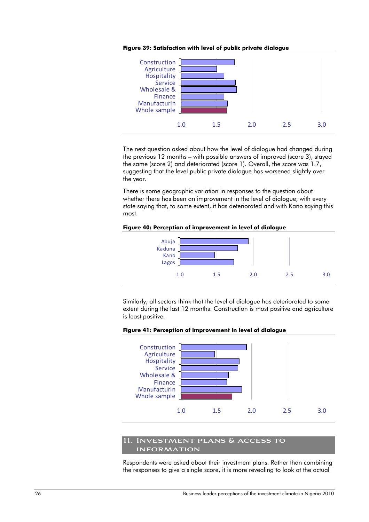

#### **Figure 39: Satisfaction with level of public private dialogue**

The next question asked about how the level of dialogue had changed during the previous 12 months – with possible answers of improved (score 3), stayed the same (score 2) and deteriorated (score 1). Overall, the score was 1.7, suggesting that the level public private dialogue has worsened slightly over the year.

There is some geographic variation in responses to the question about whether there has been an improvement in the level of dialogue, with every state saying that, to some extent, it has deteriorated and with Kano saying this most.

#### **Figure 40: Perception of improvement in level of dialogue**



Similarly, all sectors think that the level of dialogue has deteriorated to some extent during the last 12 months. Construction is most positive and agriculture is least positive.





## **11. Investment plans & access to information**

Respondents were asked about their investment plans. Rather than combining the responses to give a single score, it is more revealing to look at the actual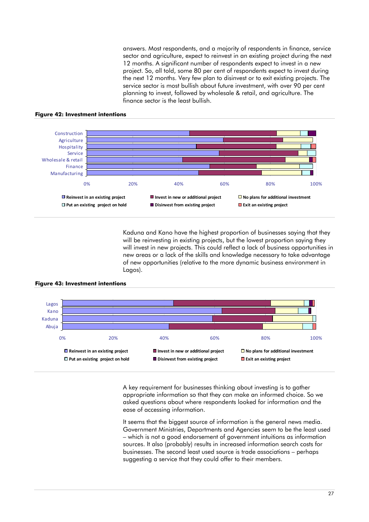answers. Most respondents, and a majority of respondents in finance, service sector and agriculture, expect to reinvest in an existing project during the next 12 months. A significant number of respondents expect to invest in a new project. So, all told, some 80 per cent of respondents expect to invest during the next 12 months. Very few plan to disinvest or to exit existing projects. The service sector is most bullish about future investment, with over 90 per cent planning to invest, followed by wholesale & retail, and agriculture. The finance sector is the least bullish.



## **Figure 42: Investment intentions**

Kaduna and Kano have the highest proportion of businesses saying that they will be reinvesting in existing projects, but the lowest proportion saying they will invest in new projects. This could reflect a lack of business opportunities in new areas or a lack of the skills and knowledge necessary to take advantage of new opportunities (relative to the more dynamic business environment in Lagos).



#### **Figure 43: Investment intentions**

A key requirement for businesses thinking about investing is to gather appropriate information so that they can make an informed choice. So we asked questions about where respondents looked for information and the ease of accessing information.

It seems that the biggest source of information is the general news media. Government Ministries, Departments and Agencies seem to be the least used – which is not a good endorsement of government intuitions as information sources. It also (probably) results in increased information search costs for businesses. The second least used source is trade associations – perhaps suggesting a service that they could offer to their members.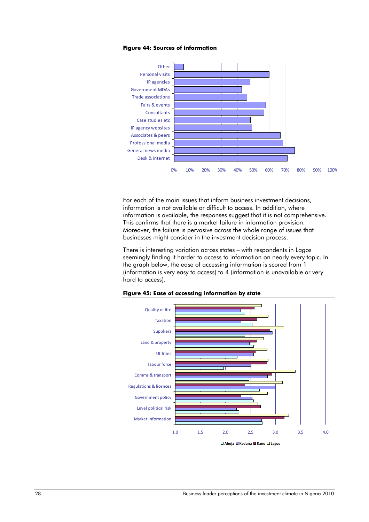**Figure 44: Sources of information** 



For each of the main issues that inform business investment decisions, information is not available or difficult to access. In addition, where information is available, the responses suggest that it is not comprehensive. This confirms that there is a market failure in information provision. Moreover, the failure is pervasive across the whole range of issues that businesses might consider in the investment decision process.

There is interesting variation across states – with respondents in Lagos seemingly finding it harder to access to information on nearly every topic. In the graph below, the ease of accessing information is scored from 1 (information is very easy to access) to 4 (information is unavailable or very hard to access).



**Figure 45: Ease of accessing information by state**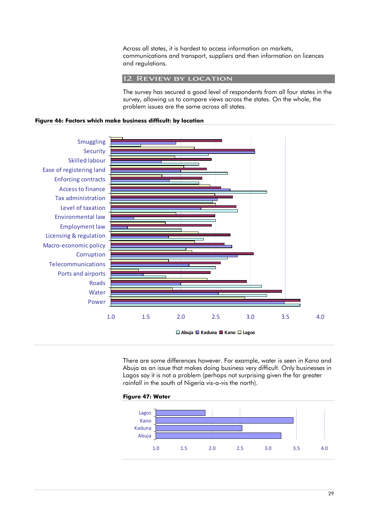Across all states, it is hardest to access information on markets, communications and transport, suppliers and then information on licences and regulations.

## **12. Review by location**

The survey has secured a good level of respondents from all four states in the survey, allowing us to compare views across the states. On the whole, the problem issues are the same across all states.

## **Figure 46: Factors which make business difficult: by location**



There are some differences however. For example, water is seen in Kano and Abuja as an issue that makes doing business very difficult. Only businesses in Lagos say it is not a problem (perhaps not surprising given the far greater rainfall in the south of Nigeria vis-a-vis the north).

#### **Figure 47: Water**

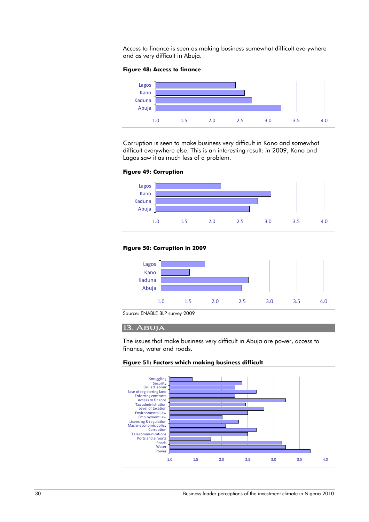Access to finance is seen as making business somewhat difficult everywhere and as very difficult in Abuja.

#### **Figure 48: Access to finance**



Corruption is seen to make business very difficult in Kano and somewhat difficult everywhere else. This is an interesting result: in 2009, Kano and Lagos saw it as much less of a problem.





## **Figure 50: Corruption in 2009**



Source: ENABLE BLP survey 2009

## **13. Abuja**

The issues that make business very difficult in Abuja are power, access to finance, water and roads.



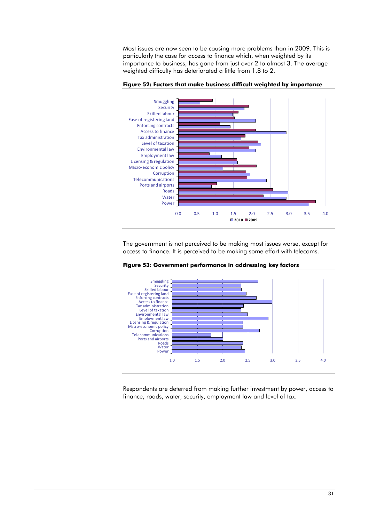Most issues are now seen to be causing more problems than in 2009. This is particularly the case for access to finance which, when weighted by its importance to business, has gone from just over 2 to almost 3. The average weighted difficulty has deteriorated a little from 1.8 to 2.



**Figure 52: Factors that make business difficult weighted by importance** 

The government is not perceived to be making most issues worse, except for access to finance. It is perceived to be making some effort with telecoms.



**Figure 53: Government performance in addressing key factors** 

Respondents are deterred from making further investment by power, access to finance, roads, water, security, employment law and level of tax.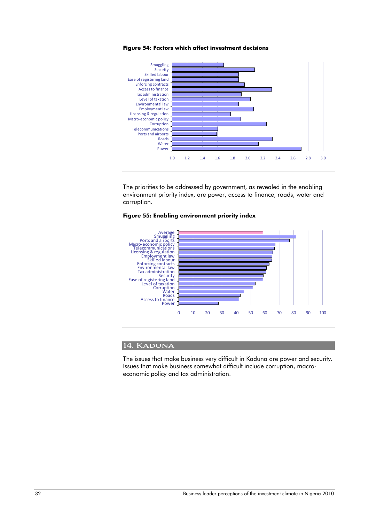



The priorities to be addressed by government, as revealed in the enabling environment priority index, are power, access to finance, roads, water and corruption.





## **14. Kaduna**

The issues that make business very difficult in Kaduna are power and security. Issues that make business somewhat difficult include corruption, macroeconomic policy and tax administration.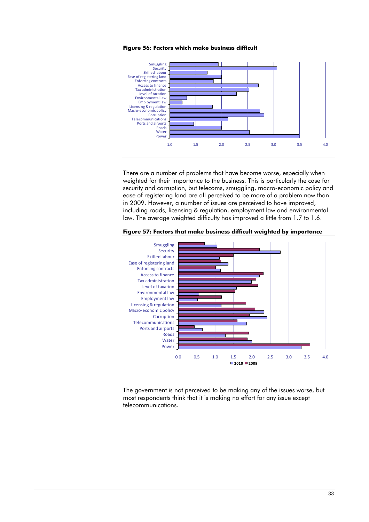



There are a number of problems that have become worse, especially when weighted for their importance to the business. This is particularly the case for security and corruption, but telecoms, smuggling, macro-economic policy and ease of registering land are all perceived to be more of a problem now than in 2009. However, a number of issues are perceived to have improved, including roads, licensing & regulation, employment law and environmental law. The average weighted difficulty has improved a little from 1.7 to 1.6.



**Figure 57: Factors that make business difficult weighted by importance** 

The government is not perceived to be making any of the issues worse, but most respondents think that it is making no effort for any issue except telecommunications.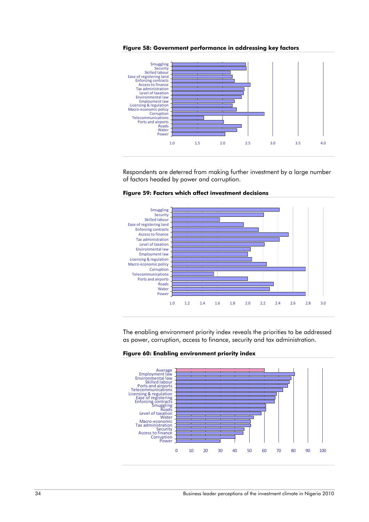



Respondents are deterred from making further investment by a large number of factors headed by power and corruption.



**Figure 59: Factors which affect investment decisions** 

The enabling environment priority index reveals the priorities to be addressed as power, corruption, access to finance, security and tax administration.



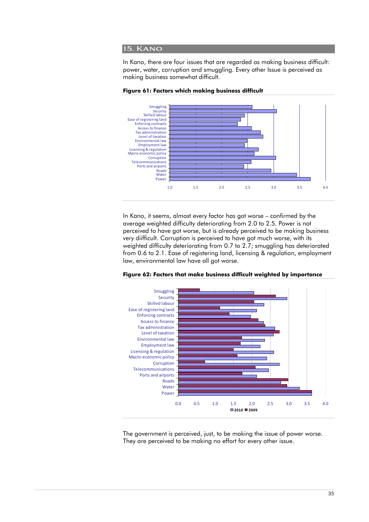#### **15. Kano**

In Kano, there are four issues that are regarded as making business difficult: power, water, corruption and smuggling. Every other Issue is perceived as making business somewhat difficult.



**Figure 61: Factors which making business difficult** 

In Kano, it seems, almost every factor has got worse – confirmed by the average weighted difficulty deteriorating from 2.0 to 2.5. Power is not perceived to have got worse, but is already perceived to be making business very diifficult. Corruption is perceived to have got much worse, with its weighted difficulty deteriorating from 0.7 to 2.7; smuggling has deteriorated from 0.6 to 2.1. Ease of registering land, licensing & regulation, employment law, environmental law have all got worse.



#### **Figure 62: Factors that make business difficult weighted by importance**

The government is perceived, just, to be making the issue of power worse. They are perceived to be making no effort for every other issue.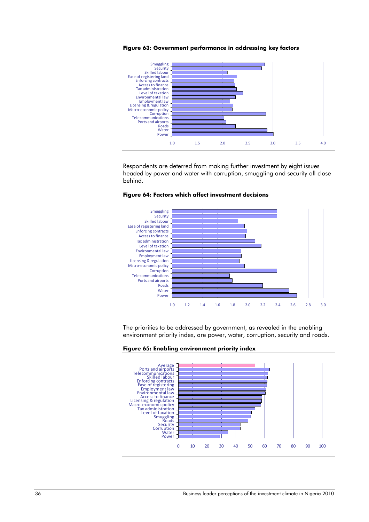



Respondents are deterred from making further investment by eight issues headed by power and water with corruption, smuggling and security all close behind.



#### **Figure 64: Factors which affect investment decisions**

The priorities to be addressed by government, as revealed in the enabling environment priority index, are power, water, corruption, security and roads.

**Figure 65: Enabling environment priority index** 

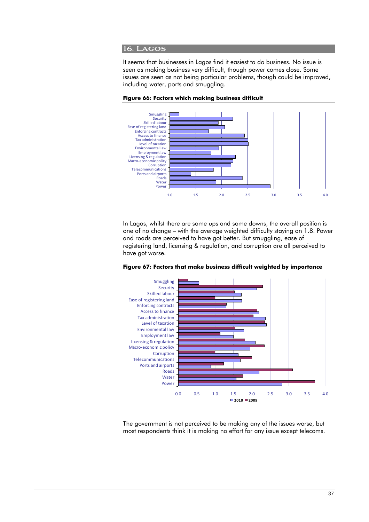#### **16. Lagos**

It seems that businesses in Lagos find it easiest to do business. No issue is seen as making business very difficult, though power comes close. Some issues are seen as not being particular problems, though could be improved, including water, ports and smuggling.



**Figure 66: Factors which making business difficult** 

In Lagos, whilst there are some ups and some downs, the overall position is one of no change – with the average weighted difficulty staying on 1.8. Power and roads are perceived to have got better. But smuggling, ease of registering land, licensing & regulation, and corruption are all perceived to have got worse.



**Figure 67: Factors that make business difficult weighted by importance** 

The government is not perceived to be making any of the issues worse, but most respondents think it is making no effort for any issue except telecoms.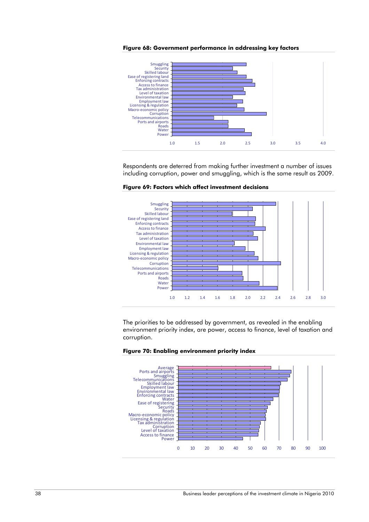



Respondents are deterred from making further investment a number of issues including corruption, power and smuggling, which is the same result as 2009.



**Figure 69: Factors which affect investment decisions** 

The priorities to be addressed by government, as revealed in the enabling environment priority index, are power, access to finance, level of taxation and corruption.